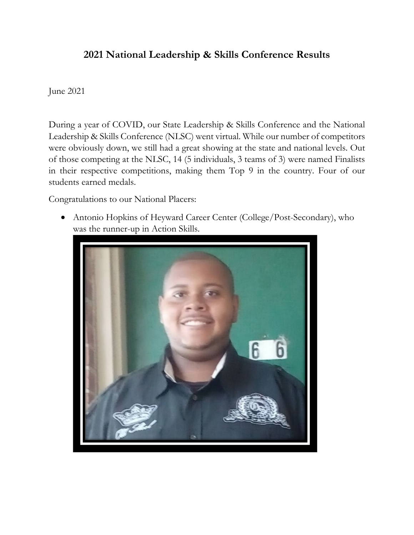## **2021 National Leadership & Skills Conference Results**

June 2021

During a year of COVID, our State Leadership & Skills Conference and the National Leadership & Skills Conference (NLSC) went virtual. While our number of competitors were obviously down, we still had a great showing at the state and national levels. Out of those competing at the NLSC, 14 (5 individuals, 3 teams of 3) were named Finalists in their respective competitions, making them Top 9 in the country. Four of our students earned medals.

Congratulations to our National Placers:

• Antonio Hopkins of Heyward Career Center (College/Post-Secondary), who was the runner-up in Action Skills.

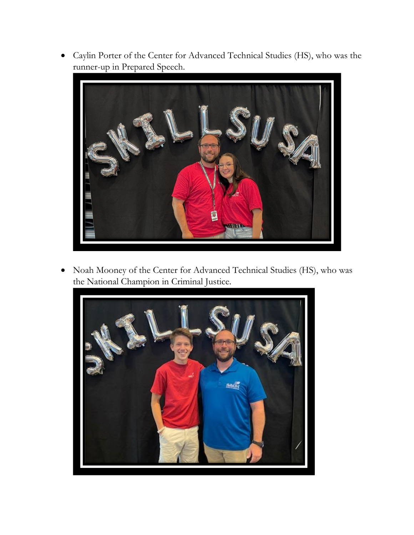• Caylin Porter of the Center for Advanced Technical Studies (HS), who was the runner-up in Prepared Speech.



• Noah Mooney of the Center for Advanced Technical Studies (HS), who was the National Champion in Criminal Justice.